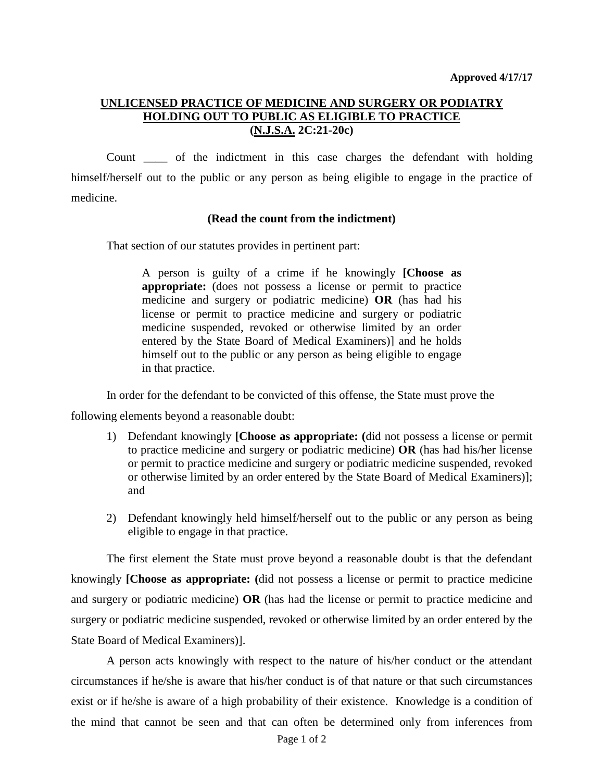## **UNLICENSED PRACTICE OF MEDICINE AND SURGERY OR PODIATRY HOLDING OUT TO PUBLIC AS ELIGIBLE TO PRACTICE (N.J.S.A. 2C:21-20c)**

Count \_\_\_\_ of the indictment in this case charges the defendant with holding himself/herself out to the public or any person as being eligible to engage in the practice of medicine.

## **(Read the count from the indictment)**

That section of our statutes provides in pertinent part:

A person is guilty of a crime if he knowingly **[Choose as appropriate:** (does not possess a license or permit to practice medicine and surgery or podiatric medicine) **OR** (has had his license or permit to practice medicine and surgery or podiatric medicine suspended, revoked or otherwise limited by an order entered by the State Board of Medical Examiners)] and he holds himself out to the public or any person as being eligible to engage in that practice.

In order for the defendant to be convicted of this offense, the State must prove the

following elements beyond a reasonable doubt:

- 1) Defendant knowingly **[Choose as appropriate: (**did not possess a license or permit to practice medicine and surgery or podiatric medicine) **OR** (has had his/her license or permit to practice medicine and surgery or podiatric medicine suspended, revoked or otherwise limited by an order entered by the State Board of Medical Examiners)]; and
- 2) Defendant knowingly held himself/herself out to the public or any person as being eligible to engage in that practice.

The first element the State must prove beyond a reasonable doubt is that the defendant knowingly **[Choose as appropriate: (**did not possess a license or permit to practice medicine and surgery or podiatric medicine) **OR** (has had the license or permit to practice medicine and surgery or podiatric medicine suspended, revoked or otherwise limited by an order entered by the State Board of Medical Examiners)].

A person acts knowingly with respect to the nature of his/her conduct or the attendant circumstances if he/she is aware that his/her conduct is of that nature or that such circumstances exist or if he/she is aware of a high probability of their existence. Knowledge is a condition of the mind that cannot be seen and that can often be determined only from inferences from